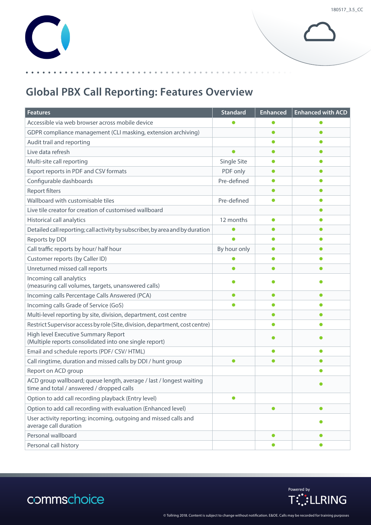## **Global PBX Call Reporting: Features Overview**

| <b>Features</b>                                                                                                  | <b>Standard</b> | <b>Enhanced</b> | <b>Enhanced with ACD</b> |
|------------------------------------------------------------------------------------------------------------------|-----------------|-----------------|--------------------------|
| Accessible via web browser across mobile device                                                                  |                 | o               |                          |
| GDPR compliance management (CLI masking, extension archiving)                                                    |                 | $\bullet$       |                          |
| Audit trail and reporting                                                                                        |                 | 0               |                          |
| Live data refresh                                                                                                |                 | $\bullet$       | ●                        |
| Multi-site call reporting                                                                                        | Single Site     | $\bullet$       | ●                        |
| Export reports in PDF and CSV formats                                                                            | PDF only        | O               |                          |
| Configurable dashboards                                                                                          | Pre-defined     | $\bullet$       |                          |
| <b>Report filters</b>                                                                                            |                 | $\bullet$       |                          |
| Wallboard with customisable tiles                                                                                | Pre-defined     | $\bullet$       | Ω                        |
| Live tile creator for creation of customised wallboard                                                           |                 |                 |                          |
| <b>Historical call analytics</b>                                                                                 | 12 months       | 0               |                          |
| Detailed call reporting; call activity by subscriber, by area and by duration                                    |                 |                 |                          |
| Reports by DDI                                                                                                   |                 | $\bullet$       |                          |
| Call traffic reports by hour/ half hour                                                                          | By hour only    | $\bullet$       | ●                        |
| Customer reports (by Caller ID)                                                                                  |                 | $\bullet$       | ●                        |
| Unreturned missed call reports                                                                                   |                 |                 |                          |
| Incoming call analytics<br>(measuring call volumes, targets, unanswered calls)                                   |                 |                 |                          |
| Incoming calls Percentage Calls Answered (PCA)                                                                   | $\bullet$       | $\bullet$       |                          |
| Incoming calls Grade of Service (GoS)                                                                            |                 | $\bullet$       | Ω                        |
| Multi-level reporting by site, division, department, cost centre                                                 |                 | $\bullet$       |                          |
| Restrict Supervisor access by role (Site, division, department, cost centre)                                     |                 |                 |                          |
| High level Executive Summary Report<br>(Multiple reports consolidated into one single report)                    |                 |                 |                          |
| Email and schedule reports (PDF/ CSV/ HTML)                                                                      |                 | $\bullet$       |                          |
| Call ringtime, duration and missed calls by DDI / hunt group                                                     | $\bullet$       | $\bullet$       |                          |
| Report on ACD group                                                                                              |                 |                 | ●                        |
| ACD group wallboard; queue length, average / last / longest waiting<br>time and total / answered / dropped calls |                 |                 |                          |
| Option to add call recording playback (Entry level)                                                              | $\bullet$       |                 |                          |
| Option to add call recording with evaluation (Enhanced level)                                                    |                 | $\bullet$       | $\bullet$                |
| User activity reporting; incoming, outgoing and missed calls and<br>average call duration                        |                 |                 |                          |
| Personal wallboard                                                                                               |                 | $\bullet$       | $\bullet$                |
| Personal call history                                                                                            |                 | $\bullet$       | $\bullet$                |



## commschoice